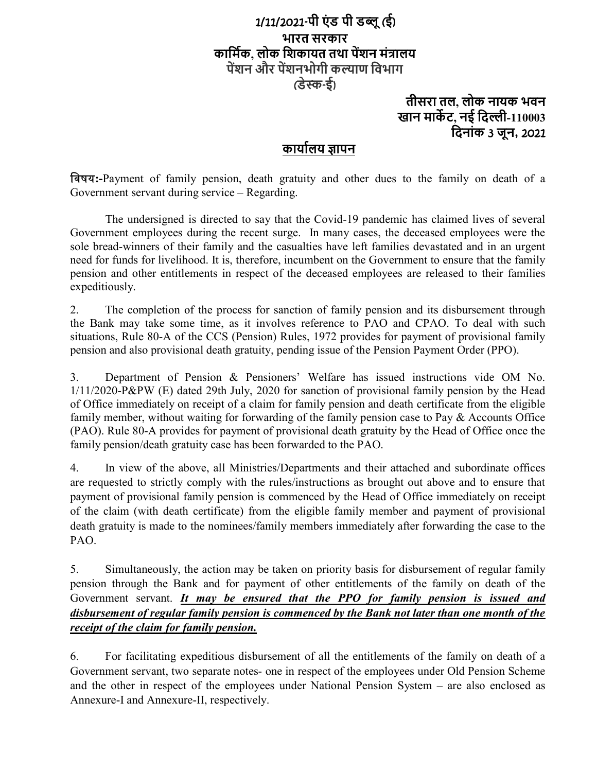# 1/11/2021-पी एंड पी डब्लू (ई) भारत सरकार कार्मिक, लोक शिकायत तथा पेंशन मंत्रालय पेंशन और पेंशनभोगी कल्याण विभाग (डेस्क-ई)

## तीसरा तल, लोक नायक भवन खान मार्केट, नई दिल्ली-110003 िदनांक 3 जून, 2021

# कार्यालय ज्ञापन

िवषय:-Payment of family pension, death gratuity and other dues to the family on death of a Government servant during service – Regarding.

The undersigned is directed to say that the Covid-19 pandemic has claimed lives of several Government employees during the recent surge. In many cases, the deceased employees were the sole bread-winners of their family and the casualties have left families devastated and in an urgent need for funds for livelihood. It is, therefore, incumbent on the Government to ensure that the family pension and other entitlements in respect of the deceased employees are released to their families expeditiously.

2. The completion of the process for sanction of family pension and its disbursement through the Bank may take some time, as it involves reference to PAO and CPAO. To deal with such situations, Rule 80-A of the CCS (Pension) Rules, 1972 provides for payment of provisional family pension and also provisional death gratuity, pending issue of the Pension Payment Order (PPO).

3. Department of Pension & Pensioners' Welfare has issued instructions vide OM No. 1/11/2020-P&PW (E) dated 29th July, 2020 for sanction of provisional family pension by the Head of Office immediately on receipt of a claim for family pension and death certificate from the eligible family member, without waiting for forwarding of the family pension case to Pay & Accounts Office (PAO). Rule 80-A provides for payment of provisional death gratuity by the Head of Office once the family pension/death gratuity case has been forwarded to the PAO.

4. In view of the above, all Ministries/Departments and their attached and subordinate offices are requested to strictly comply with the rules/instructions as brought out above and to ensure that payment of provisional family pension is commenced by the Head of Office immediately on receipt of the claim (with death certificate) from the eligible family member and payment of provisional death gratuity is made to the nominees/family members immediately after forwarding the case to the PAO.

5. Simultaneously, the action may be taken on priority basis for disbursement of regular family pension through the Bank and for payment of other entitlements of the family on death of the Government servant. It may be ensured that the PPO for family pension is issued and disbursement of regular family pension is commenced by the Bank not later than one month of the receipt of the claim for family pension.

6. For facilitating expeditious disbursement of all the entitlements of the family on death of a Government servant, two separate notes- one in respect of the employees under Old Pension Scheme and the other in respect of the employees under National Pension System – are also enclosed as Annexure-I and Annexure-II, respectively.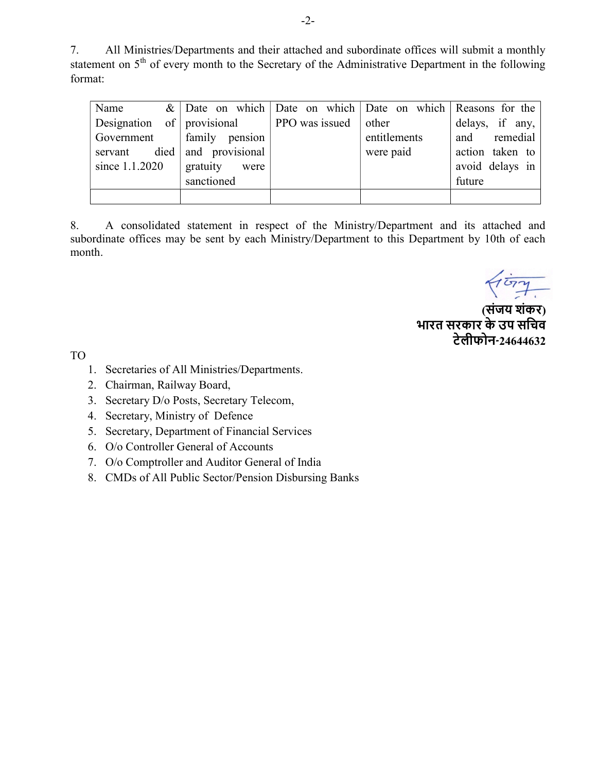7. All Ministries/Departments and their attached and subordinate offices will submit a monthly statement on  $5<sup>th</sup>$  of every month to the Secretary of the Administrative Department in the following format:

| Name                       |                              |                             | $\&$ Date on which Date on which Date on which Reasons for the |                 |
|----------------------------|------------------------------|-----------------------------|----------------------------------------------------------------|-----------------|
| Designation of provisional |                              | <b>PPO</b> was issued other |                                                                | delays, if any, |
|                            | Government   family pension  |                             | entitlements                                                   | and remedial    |
|                            | servant died and provisional |                             | were paid                                                      | action taken to |
| since 1.1.2020             | gratuity<br>were             |                             |                                                                | avoid delays in |
|                            | sanctioned                   |                             |                                                                | future          |
|                            |                              |                             |                                                                |                 |

8. A consolidated statement in respect of the Ministry/Department and its attached and subordinate offices may be sent by each Ministry/Department to this Department by 10th of each month.

 (संजय शंकर) भारत सरकार के उप सिचव टेलीफोन-24644632

TO

- 1. Secretaries of All Ministries/Departments.
- 2. Chairman, Railway Board,
- 3. Secretary D/o Posts, Secretary Telecom,
- 4. Secretary, Ministry of Defence
- 5. Secretary, Department of Financial Services
- 6. O/o Controller General of Accounts
- 7. O/o Comptroller and Auditor General of India
- 8. CMDs of All Public Sector/Pension Disbursing Banks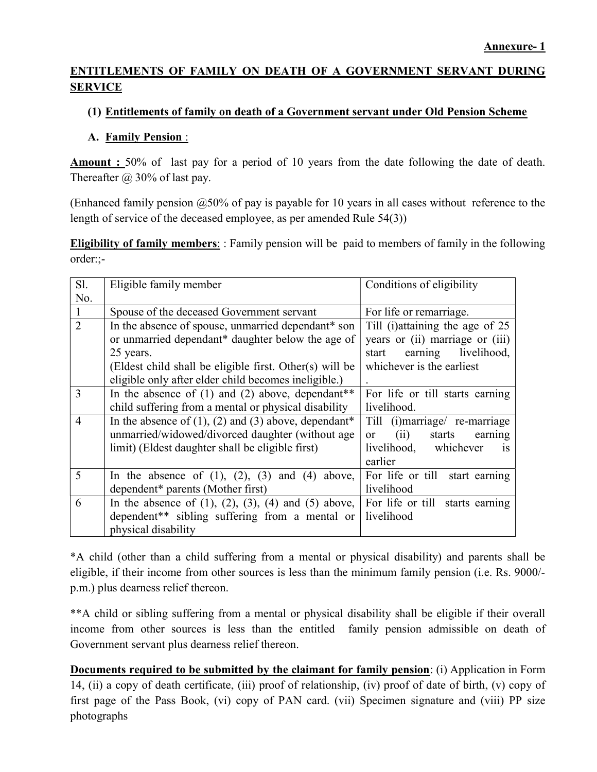## ENTITLEMENTS OF FAMILY ON DEATH OF A GOVERNMENT SERVANT DURING **SERVICE**

### (1) Entitlements of family on death of a Government servant under Old Pension Scheme

#### A. Family Pension :

Amount : 50% of last pay for a period of 10 years from the date following the date of death. Thereafter  $\omega$  30% of last pay.

(Enhanced family pension  $@50\%$  of pay is payable for 10 years in all cases without reference to the length of service of the deceased employee, as per amended Rule 54(3))

Eligibility of family members: : Family pension will be paid to members of family in the following order:;-

| Sl.            | Eligible family member                                           | Conditions of eligibility               |
|----------------|------------------------------------------------------------------|-----------------------------------------|
| No.            |                                                                  |                                         |
| $\mathbf{1}$   | Spouse of the deceased Government servant                        | For life or remarriage.                 |
| $\overline{2}$ | In the absence of spouse, unmarried dependant* son               | Till (i) attaining the age of 25        |
|                | or unmarried dependant* daughter below the age of                | years or (ii) marriage or (iii)         |
|                | 25 years.                                                        | earning livelihood,<br>start            |
|                | (Eldest child shall be eligible first. Other(s) will be          | whichever is the earliest               |
|                | eligible only after elder child becomes ineligible.)             |                                         |
| 3              | In the absence of $(1)$ and $(2)$ above, dependant <sup>**</sup> | For life or till starts earning         |
|                | child suffering from a mental or physical disability             | livelihood.                             |
| $\overline{4}$ | In the absence of $(1)$ , $(2)$ and $(3)$ above, dependant*      | Till (i)marriage/ re-marriage           |
|                | unmarried/widowed/divorced daughter (without age                 | (ii)<br>starts<br>earning<br>$\alpha$ r |
|                | limit) (Eldest daughter shall be eligible first)                 | livelihood, whichever<br><b>1S</b>      |
|                |                                                                  | earlier                                 |
| 5              | In the absence of $(1)$ , $(2)$ , $(3)$ and $(4)$<br>above,      | For life or till<br>start earning       |
|                | dependent* parents (Mother first)                                | livelihood                              |
| 6              | In the absence of (1), (2), (3), (4) and (5) above,              | For life or till starts earning         |
|                | dependent** sibling suffering from a mental or                   | livelihood                              |
|                | physical disability                                              |                                         |

\*A child (other than a child suffering from a mental or physical disability) and parents shall be eligible, if their income from other sources is less than the minimum family pension (i.e. Rs. 9000/ p.m.) plus dearness relief thereon.

\*\*A child or sibling suffering from a mental or physical disability shall be eligible if their overall income from other sources is less than the entitled family pension admissible on death of Government servant plus dearness relief thereon.

Documents required to be submitted by the claimant for family pension: (i) Application in Form 14, (ii) a copy of death certificate, (iii) proof of relationship, (iv) proof of date of birth, (v) copy of first page of the Pass Book, (vi) copy of PAN card. (vii) Specimen signature and (viii) PP size photographs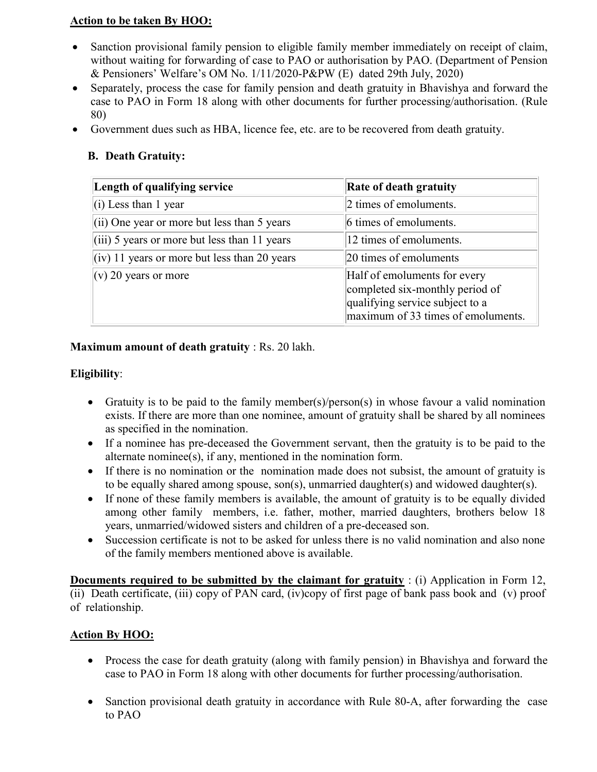#### Action to be taken By HOO:

- Sanction provisional family pension to eligible family member immediately on receipt of claim, without waiting for forwarding of case to PAO or authorisation by PAO. (Department of Pension & Pensioners' Welfare's OM No. 1/11/2020-P&PW (E) dated 29th July, 2020)
- Separately, process the case for family pension and death gratuity in Bhavishya and forward the case to PAO in Form 18 along with other documents for further processing/authorisation. (Rule 80)
- Government dues such as HBA, licence fee, etc. are to be recovered from death gratuity.

## B. Death Gratuity:

| Length of qualifying service                         | <b>Rate of death gratuity</b>                                                                                                            |
|------------------------------------------------------|------------------------------------------------------------------------------------------------------------------------------------------|
| $(i)$ Less than 1 year                               | 2 times of emoluments.                                                                                                                   |
| $(iii)$ One year or more but less than 5 years       | 6 times of emoluments.                                                                                                                   |
| $(iii)$ 5 years or more but less than 11 years       | 12 times of emoluments.                                                                                                                  |
| $\vert$ (iv) 11 years or more but less than 20 years | 20 times of emoluments                                                                                                                   |
| $(v)$ 20 years or more                               | Half of emoluments for every<br>completed six-monthly period of<br>qualifying service subject to a<br>maximum of 33 times of emoluments. |

#### Maximum amount of death gratuity : Rs. 20 lakh.

#### Eligibility:

- Gratuity is to be paid to the family member(s)/person(s) in whose favour a valid nomination exists. If there are more than one nominee, amount of gratuity shall be shared by all nominees as specified in the nomination.
- If a nominee has pre-deceased the Government servant, then the gratuity is to be paid to the alternate nominee(s), if any, mentioned in the nomination form.
- If there is no nomination or the nomination made does not subsist, the amount of gratuity is to be equally shared among spouse, son(s), unmarried daughter(s) and widowed daughter(s).
- If none of these family members is available, the amount of gratuity is to be equally divided among other family members, i.e. father, mother, married daughters, brothers below 18 years, unmarried/widowed sisters and children of a pre-deceased son.
- Succession certificate is not to be asked for unless there is no valid nomination and also none of the family members mentioned above is available.

Documents required to be submitted by the claimant for gratuity : (i) Application in Form 12, (ii) Death certificate, (iii) copy of PAN card, (iv)copy of first page of bank pass book and (v) proof of relationship.

## Action By HOO:

- Process the case for death gratuity (along with family pension) in Bhavishya and forward the case to PAO in Form 18 along with other documents for further processing/authorisation.
- Sanction provisional death gratuity in accordance with Rule 80-A, after forwarding the case to PAO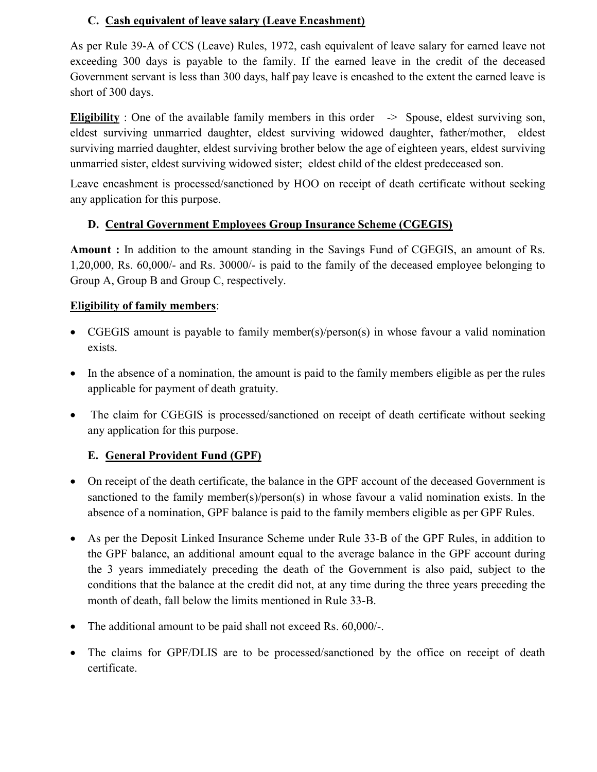## C. Cash equivalent of leave salary (Leave Encashment)

As per Rule 39-A of CCS (Leave) Rules, 1972, cash equivalent of leave salary for earned leave not exceeding 300 days is payable to the family. If the earned leave in the credit of the deceased Government servant is less than 300 days, half pay leave is encashed to the extent the earned leave is short of 300 days.

**Eligibility** : One of the available family members in this order  $\rightarrow$  Spouse, eldest surviving son, eldest surviving unmarried daughter, eldest surviving widowed daughter, father/mother, eldest surviving married daughter, eldest surviving brother below the age of eighteen years, eldest surviving unmarried sister, eldest surviving widowed sister; eldest child of the eldest predeceased son.

Leave encashment is processed/sanctioned by HOO on receipt of death certificate without seeking any application for this purpose.

## D. Central Government Employees Group Insurance Scheme (CGEGIS)

Amount : In addition to the amount standing in the Savings Fund of CGEGIS, an amount of Rs. 1,20,000, Rs. 60,000/- and Rs. 30000/- is paid to the family of the deceased employee belonging to Group A, Group B and Group C, respectively.

## Eligibility of family members:

- CGEGIS amount is payable to family member(s)/person(s) in whose favour a valid nomination exists.
- In the absence of a nomination, the amount is paid to the family members eligible as per the rules applicable for payment of death gratuity.
- The claim for CGEGIS is processed/sanctioned on receipt of death certificate without seeking any application for this purpose.

## E. General Provident Fund (GPF)

- On receipt of the death certificate, the balance in the GPF account of the deceased Government is sanctioned to the family member(s)/person(s) in whose favour a valid nomination exists. In the absence of a nomination, GPF balance is paid to the family members eligible as per GPF Rules.
- As per the Deposit Linked Insurance Scheme under Rule 33-B of the GPF Rules, in addition to the GPF balance, an additional amount equal to the average balance in the GPF account during the 3 years immediately preceding the death of the Government is also paid, subject to the conditions that the balance at the credit did not, at any time during the three years preceding the month of death, fall below the limits mentioned in Rule 33-B.
- The additional amount to be paid shall not exceed Rs. 60,000/-.
- The claims for GPF/DLIS are to be processed/sanctioned by the office on receipt of death certificate.